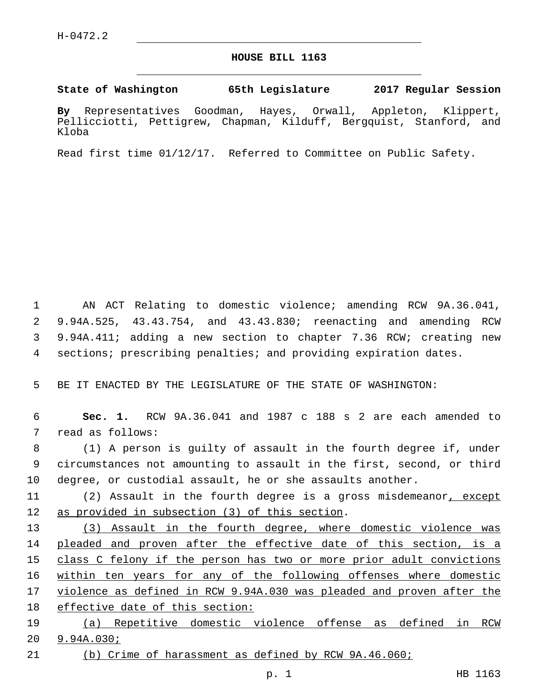## **HOUSE BILL 1163**

**State of Washington 65th Legislature 2017 Regular Session**

**By** Representatives Goodman, Hayes, Orwall, Appleton, Klippert, Pellicciotti, Pettigrew, Chapman, Kilduff, Bergquist, Stanford, and Kloba

Read first time 01/12/17. Referred to Committee on Public Safety.

 AN ACT Relating to domestic violence; amending RCW 9A.36.041, 9.94A.525, 43.43.754, and 43.43.830; reenacting and amending RCW 9.94A.411; adding a new section to chapter 7.36 RCW; creating new sections; prescribing penalties; and providing expiration dates.

5 BE IT ENACTED BY THE LEGISLATURE OF THE STATE OF WASHINGTON:

6 **Sec. 1.** RCW 9A.36.041 and 1987 c 188 s 2 are each amended to 7 read as follows:

8 (1) A person is guilty of assault in the fourth degree if, under 9 circumstances not amounting to assault in the first, second, or third 10 degree, or custodial assault, he or she assaults another.

11 (2) Assault in the fourth degree is a gross misdemeanor, except 12 as provided in subsection (3) of this section.

 (3) Assault in the fourth degree, where domestic violence was pleaded and proven after the effective date of this section, is a class C felony if the person has two or more prior adult convictions 16 within ten years for any of the following offenses where domestic 17 violence as defined in RCW 9.94A.030 was pleaded and proven after the effective date of this section:

19 (a) Repetitive domestic violence offense as defined in RCW 20 9.94A.030;

21 (b) Crime of harassment as defined by RCW 9A.46.060;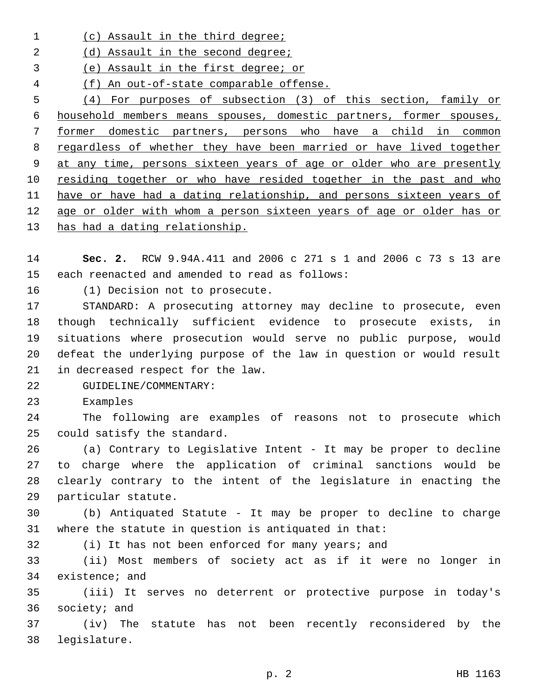- 1 (c) Assault in the third degree;
- 2 (d) Assault in the second degree;
- (e) Assault in the first degree; or
- (f) An out-of-state comparable offense.

 (4) For purposes of subsection (3) of this section, family or household members means spouses, domestic partners, former spouses, former domestic partners, persons who have a child in common regardless of whether they have been married or have lived together at any time, persons sixteen years of age or older who are presently 10 residing together or who have resided together in the past and who have or have had a dating relationship, and persons sixteen years of age or older with whom a person sixteen years of age or older has or has had a dating relationship.

- **Sec. 2.** RCW 9.94A.411 and 2006 c 271 s 1 and 2006 c 73 s 13 are 15 each reenacted and amended to read as follows:
- 16 (1) Decision not to prosecute.

 STANDARD: A prosecuting attorney may decline to prosecute, even though technically sufficient evidence to prosecute exists, in situations where prosecution would serve no public purpose, would defeat the underlying purpose of the law in question or would result 21 in decreased respect for the law.

- 22 GUIDELINE/COMMENTARY:
- 23 Examples

 The following are examples of reasons not to prosecute which 25 could satisfy the standard.

 (a) Contrary to Legislative Intent - It may be proper to decline to charge where the application of criminal sanctions would be clearly contrary to the intent of the legislature in enacting the 29 particular statute.

 (b) Antiquated Statute - It may be proper to decline to charge where the statute in question is antiquated in that:

(i) It has not been enforced for many years; and

 (ii) Most members of society act as if it were no longer in 34 existence; and

 (iii) It serves no deterrent or protective purpose in today's 36 society; and

 (iv) The statute has not been recently reconsidered by the 38 legislature.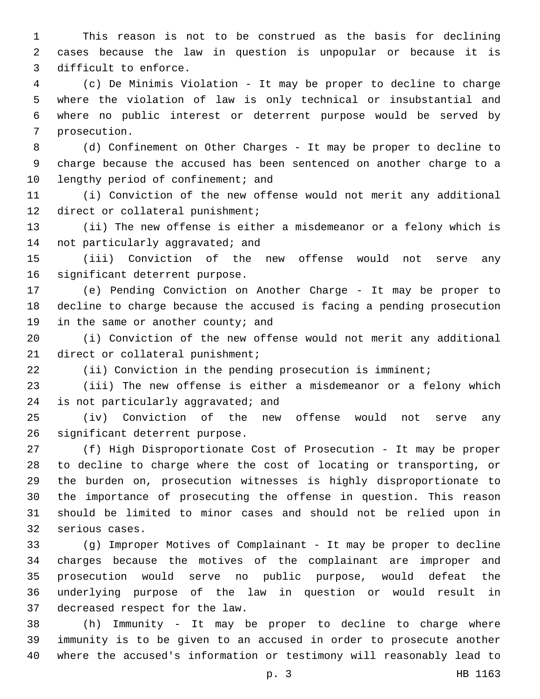This reason is not to be construed as the basis for declining cases because the law in question is unpopular or because it is 3 difficult to enforce.

 (c) De Minimis Violation - It may be proper to decline to charge where the violation of law is only technical or insubstantial and where no public interest or deterrent purpose would be served by 7 prosecution.

 (d) Confinement on Other Charges - It may be proper to decline to charge because the accused has been sentenced on another charge to a 10 lengthy period of confinement; and

 (i) Conviction of the new offense would not merit any additional 12 direct or collateral punishment;

 (ii) The new offense is either a misdemeanor or a felony which is 14 not particularly aggravated; and

 (iii) Conviction of the new offense would not serve any 16 significant deterrent purpose.

 (e) Pending Conviction on Another Charge - It may be proper to decline to charge because the accused is facing a pending prosecution 19 in the same or another county; and

 (i) Conviction of the new offense would not merit any additional 21 direct or collateral punishment;

(ii) Conviction in the pending prosecution is imminent;

 (iii) The new offense is either a misdemeanor or a felony which 24 is not particularly aggravated; and

 (iv) Conviction of the new offense would not serve any 26 significant deterrent purpose.

 (f) High Disproportionate Cost of Prosecution - It may be proper to decline to charge where the cost of locating or transporting, or the burden on, prosecution witnesses is highly disproportionate to the importance of prosecuting the offense in question. This reason should be limited to minor cases and should not be relied upon in 32 serious cases.

 (g) Improper Motives of Complainant - It may be proper to decline charges because the motives of the complainant are improper and prosecution would serve no public purpose, would defeat the underlying purpose of the law in question or would result in 37 decreased respect for the law.

 (h) Immunity - It may be proper to decline to charge where immunity is to be given to an accused in order to prosecute another where the accused's information or testimony will reasonably lead to

p. 3 HB 1163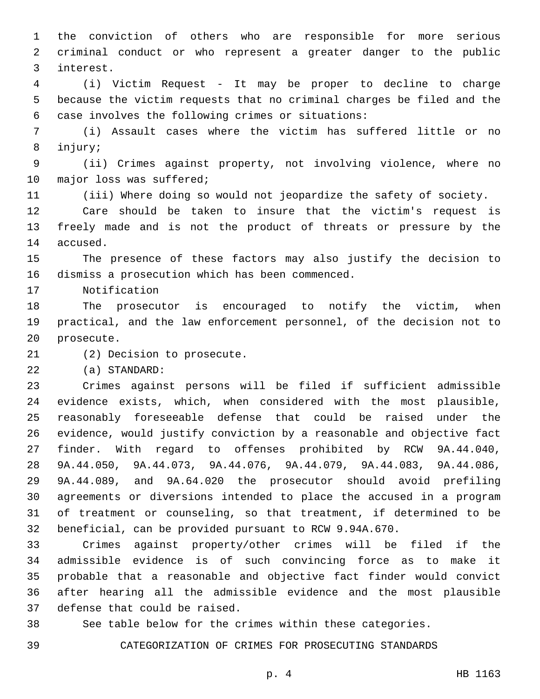the conviction of others who are responsible for more serious criminal conduct or who represent a greater danger to the public interest.3

 (i) Victim Request - It may be proper to decline to charge because the victim requests that no criminal charges be filed and the case involves the following crimes or situations:6

 (i) Assault cases where the victim has suffered little or no 8 injury;

 (ii) Crimes against property, not involving violence, where no 10 major loss was suffered;

(iii) Where doing so would not jeopardize the safety of society.

 Care should be taken to insure that the victim's request is freely made and is not the product of threats or pressure by the 14 accused.

 The presence of these factors may also justify the decision to 16 dismiss a prosecution which has been commenced.

17 Notification

 The prosecutor is encouraged to notify the victim, when practical, and the law enforcement personnel, of the decision not to 20 prosecute.

21 (2) Decision to prosecute.

(a) STANDARD:22

 Crimes against persons will be filed if sufficient admissible evidence exists, which, when considered with the most plausible, reasonably foreseeable defense that could be raised under the evidence, would justify conviction by a reasonable and objective fact finder. With regard to offenses prohibited by RCW 9A.44.040, 9A.44.050, 9A.44.073, 9A.44.076, 9A.44.079, 9A.44.083, 9A.44.086, 9A.44.089, and 9A.64.020 the prosecutor should avoid prefiling agreements or diversions intended to place the accused in a program of treatment or counseling, so that treatment, if determined to be beneficial, can be provided pursuant to RCW 9.94A.670.

 Crimes against property/other crimes will be filed if the admissible evidence is of such convincing force as to make it probable that a reasonable and objective fact finder would convict after hearing all the admissible evidence and the most plausible 37 defense that could be raised.

See table below for the crimes within these categories.

CATEGORIZATION OF CRIMES FOR PROSECUTING STANDARDS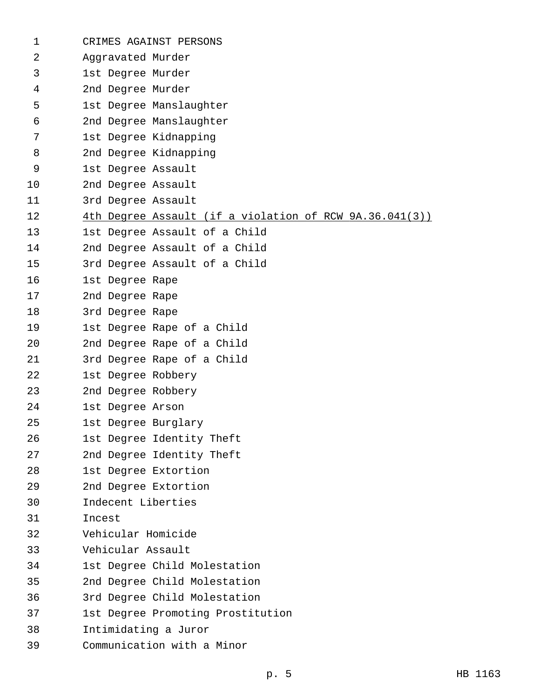| 1  | CRIMES AGAINST PERSONS                                  |
|----|---------------------------------------------------------|
| 2  | Aggravated Murder                                       |
| 3  | 1st Degree Murder                                       |
| 4  | 2nd Degree Murder                                       |
| 5  | 1st Degree Manslaughter                                 |
| 6  | 2nd Degree Manslaughter                                 |
| 7  | 1st Degree Kidnapping                                   |
| 8  | 2nd Degree Kidnapping                                   |
| 9  | 1st Degree Assault                                      |
| 10 | 2nd Degree Assault                                      |
| 11 | 3rd Degree Assault                                      |
| 12 | 4th Degree Assault (if a violation of RCW 9A.36.041(3)) |
| 13 | 1st Degree Assault of a Child                           |
| 14 | 2nd Degree Assault of a Child                           |
| 15 | 3rd Degree Assault of a Child                           |
| 16 | 1st Degree Rape                                         |
| 17 | 2nd Degree Rape                                         |
| 18 | 3rd Degree Rape                                         |
| 19 | 1st Degree Rape of a Child                              |
| 20 | 2nd Degree Rape of a Child                              |
| 21 | 3rd Degree Rape of a Child                              |
| 22 | 1st Degree Robbery                                      |
| 23 | 2nd Degree Robbery                                      |
| 24 | 1st Degree Arson                                        |
| 25 | 1st Degree Burglary                                     |
| 26 | 1st Degree Identity Theft                               |
| 27 | 2nd Degree Identity Theft                               |
| 28 | 1st Degree Extortion                                    |
| 29 | 2nd Degree Extortion                                    |
| 30 | Indecent Liberties                                      |
| 31 | Incest                                                  |
| 32 | Vehicular Homicide                                      |
| 33 | Vehicular Assault                                       |
| 34 | 1st Degree Child Molestation                            |
| 35 | 2nd Degree Child Molestation                            |
| 36 | 3rd Degree Child Molestation                            |
| 37 | 1st Degree Promoting Prostitution                       |
| 38 | Intimidating a Juror                                    |
| 39 | Communication with a Minor                              |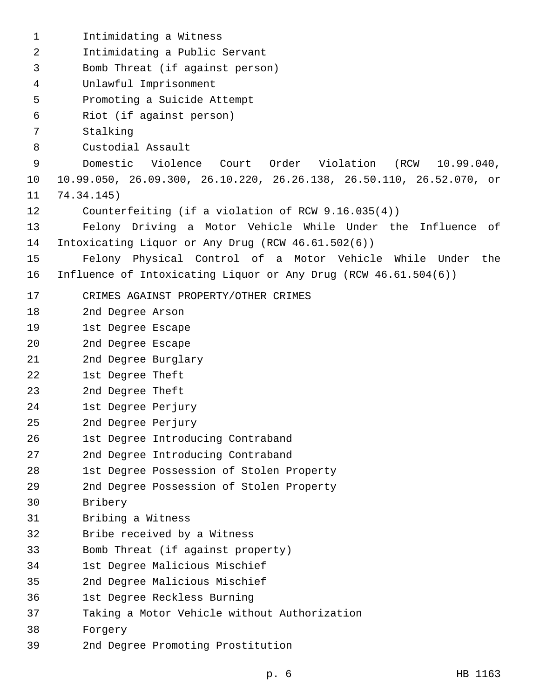| 1              | Intimidating a Witness                                               |
|----------------|----------------------------------------------------------------------|
| $\overline{2}$ | Intimidating a Public Servant                                        |
| 3              | Bomb Threat (if against person)                                      |
| $\overline{4}$ | Unlawful Imprisonment                                                |
| 5              | Promoting a Suicide Attempt                                          |
| 6              | Riot (if against person)                                             |
| 7              | Stalking                                                             |
| 8              | Custodial Assault                                                    |
| 9              | Domestic<br>Violence Court Order Violation (RCW 10.99.040,           |
| 10             | 10.99.050, 26.09.300, 26.10.220, 26.26.138, 26.50.110, 26.52.070, or |
| 11             | 74.34.145)                                                           |
| 12             | Counterfeiting (if a violation of RCW 9.16.035(4))                   |
| 13             | Felony Driving a Motor Vehicle While Under the Influence<br>of       |
| 14             | Intoxicating Liquor or Any Drug (RCW 46.61.502(6))                   |
| 15             | Felony Physical Control of a Motor Vehicle While Under the           |
| 16             | Influence of Intoxicating Liquor or Any Drug (RCW 46.61.504(6))      |
| 17             | CRIMES AGAINST PROPERTY/OTHER CRIMES                                 |
| 18             | 2nd Degree Arson                                                     |
| 19             | 1st Degree Escape                                                    |
| 20             | 2nd Degree Escape                                                    |
| 21             | 2nd Degree Burglary                                                  |
| 22             | 1st Degree Theft                                                     |
| 23             | 2nd Degree Theft                                                     |
| 24             | 1st Degree Perjury                                                   |
| 25             | 2nd Degree Perjury                                                   |
| 26             | 1st Degree Introducing Contraband                                    |
| 27             | 2nd Degree Introducing Contraband                                    |
| 28             | 1st Degree Possession of Stolen Property                             |
| 29             | 2nd Degree Possession of Stolen Property                             |
| 30             | Bribery                                                              |
| 31             | Bribing a Witness                                                    |
| 32             | Bribe received by a Witness                                          |
| 33             | Bomb Threat (if against property)                                    |
| 34             | 1st Degree Malicious Mischief                                        |
| 35             | 2nd Degree Malicious Mischief                                        |
| 36             | 1st Degree Reckless Burning                                          |
| 37             | Taking a Motor Vehicle without Authorization                         |
| 38             | Forgery                                                              |
| 39             | 2nd Degree Promoting Prostitution                                    |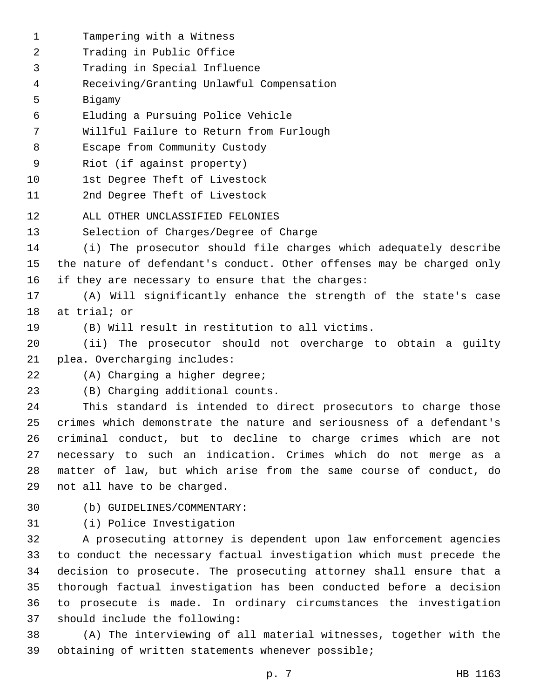1 Tampering with a Witness 2 Trading in Public Office 3 Trading in Special Influence Receiving/Granting Unlawful Compensation4 5 Bigamy Eluding a Pursuing Police Vehicle6 7 Willful Failure to Return from Furlough 8 Escape from Community Custody 9 Riot (if against property) 10 1st Degree Theft of Livestock 11 2nd Degree Theft of Livestock 12 ALL OTHER UNCLASSIFIED FELONIES 13 Selection of Charges/Degree of Charge 14 (i) The prosecutor should file charges which adequately describe 15 the nature of defendant's conduct. Other offenses may be charged only 16 if they are necessary to ensure that the charges: 17 (A) Will significantly enhance the strength of the state's case 18 at trial; or 19 (B) Will result in restitution to all victims. 20 (ii) The prosecutor should not overcharge to obtain a guilty 21 plea. Overcharging includes: 22 (A) Charging a higher degree; (B) Charging additional counts.23 24 This standard is intended to direct prosecutors to charge those 25 crimes which demonstrate the nature and seriousness of a defendant's 26 criminal conduct, but to decline to charge crimes which are not 27 necessary to such an indication. Crimes which do not merge as a 28 matter of law, but which arise from the same course of conduct, do 29 not all have to be charged. (b) GUIDELINES/COMMENTARY:30 31 (i) Police Investigation 32 A prosecuting attorney is dependent upon law enforcement agencies 33 to conduct the necessary factual investigation which must precede the 34 decision to prosecute. The prosecuting attorney shall ensure that a

35 thorough factual investigation has been conducted before a decision 36 to prosecute is made. In ordinary circumstances the investigation 37 should include the following:

38 (A) The interviewing of all material witnesses, together with the 39 obtaining of written statements whenever possible;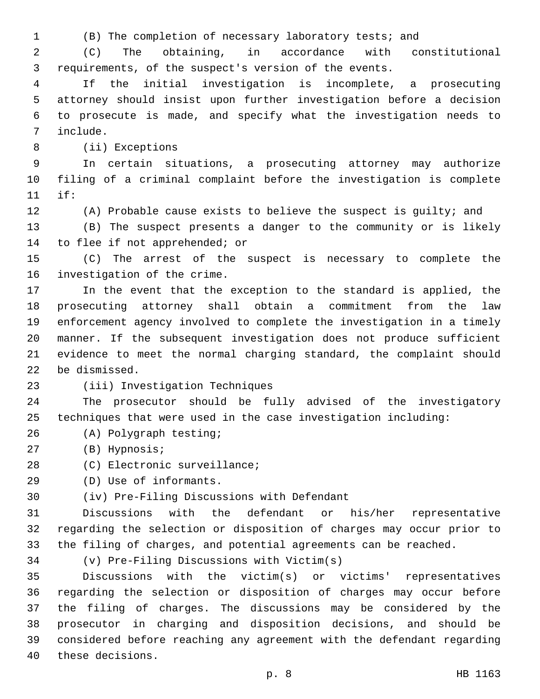(B) The completion of necessary laboratory tests; and

 (C) The obtaining, in accordance with constitutional requirements, of the suspect's version of the events.

 If the initial investigation is incomplete, a prosecuting attorney should insist upon further investigation before a decision to prosecute is made, and specify what the investigation needs to include.7

8 (ii) Exceptions

 In certain situations, a prosecuting attorney may authorize filing of a criminal complaint before the investigation is complete if:11

 (A) Probable cause exists to believe the suspect is guilty; and (B) The suspect presents a danger to the community or is likely

14 to flee if not apprehended; or

 (C) The arrest of the suspect is necessary to complete the 16 investigation of the crime.

 In the event that the exception to the standard is applied, the prosecuting attorney shall obtain a commitment from the law enforcement agency involved to complete the investigation in a timely manner. If the subsequent investigation does not produce sufficient evidence to meet the normal charging standard, the complaint should 22 be dismissed.

## 23 (iii) Investigation Techniques

 The prosecutor should be fully advised of the investigatory techniques that were used in the case investigation including:

- (A) Polygraph testing;26
- 27 (B) Hypnosis;
- 28 (C) Electronic surveillance;
- (D) Use of informants.29

(iv) Pre-Filing Discussions with Defendant30

 Discussions with the defendant or his/her representative regarding the selection or disposition of charges may occur prior to the filing of charges, and potential agreements can be reached.

(v) Pre-Filing Discussions with Victim(s)

 Discussions with the victim(s) or victims' representatives regarding the selection or disposition of charges may occur before the filing of charges. The discussions may be considered by the prosecutor in charging and disposition decisions, and should be considered before reaching any agreement with the defendant regarding 40 these decisions.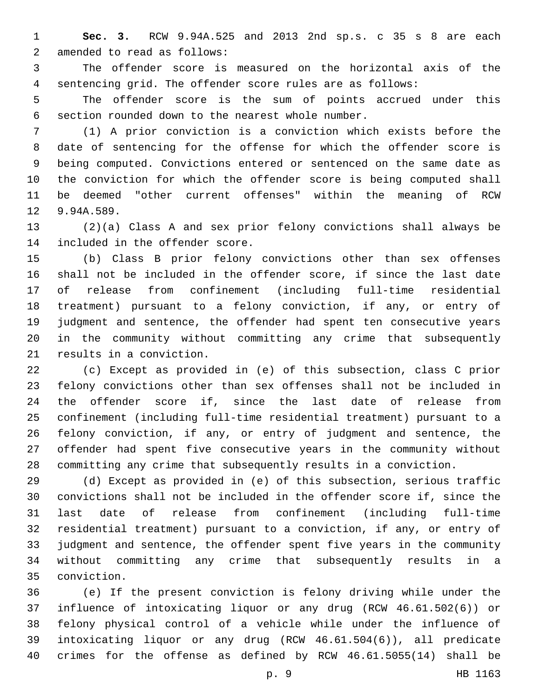**Sec. 3.** RCW 9.94A.525 and 2013 2nd sp.s. c 35 s 8 are each 2 amended to read as follows:

 The offender score is measured on the horizontal axis of the sentencing grid. The offender score rules are as follows:

 The offender score is the sum of points accrued under this section rounded down to the nearest whole number.6

 (1) A prior conviction is a conviction which exists before the date of sentencing for the offense for which the offender score is being computed. Convictions entered or sentenced on the same date as the conviction for which the offender score is being computed shall be deemed "other current offenses" within the meaning of RCW 12 9.94A.589.

 (2)(a) Class A and sex prior felony convictions shall always be 14 included in the offender score.

 (b) Class B prior felony convictions other than sex offenses shall not be included in the offender score, if since the last date of release from confinement (including full-time residential treatment) pursuant to a felony conviction, if any, or entry of judgment and sentence, the offender had spent ten consecutive years in the community without committing any crime that subsequently 21 results in a conviction.

 (c) Except as provided in (e) of this subsection, class C prior felony convictions other than sex offenses shall not be included in the offender score if, since the last date of release from confinement (including full-time residential treatment) pursuant to a felony conviction, if any, or entry of judgment and sentence, the offender had spent five consecutive years in the community without committing any crime that subsequently results in a conviction.

 (d) Except as provided in (e) of this subsection, serious traffic convictions shall not be included in the offender score if, since the last date of release from confinement (including full-time residential treatment) pursuant to a conviction, if any, or entry of judgment and sentence, the offender spent five years in the community without committing any crime that subsequently results in a conviction.35

 (e) If the present conviction is felony driving while under the influence of intoxicating liquor or any drug (RCW 46.61.502(6)) or felony physical control of a vehicle while under the influence of intoxicating liquor or any drug (RCW 46.61.504(6)), all predicate crimes for the offense as defined by RCW 46.61.5055(14) shall be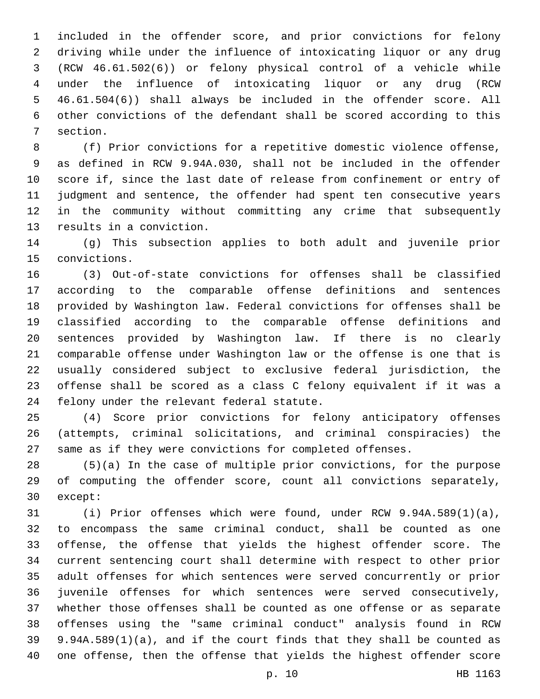included in the offender score, and prior convictions for felony driving while under the influence of intoxicating liquor or any drug (RCW 46.61.502(6)) or felony physical control of a vehicle while under the influence of intoxicating liquor or any drug (RCW 46.61.504(6)) shall always be included in the offender score. All other convictions of the defendant shall be scored according to this 7 section.

 (f) Prior convictions for a repetitive domestic violence offense, as defined in RCW 9.94A.030, shall not be included in the offender score if, since the last date of release from confinement or entry of judgment and sentence, the offender had spent ten consecutive years in the community without committing any crime that subsequently 13 results in a conviction.

 (g) This subsection applies to both adult and juvenile prior convictions.15

 (3) Out-of-state convictions for offenses shall be classified according to the comparable offense definitions and sentences provided by Washington law. Federal convictions for offenses shall be classified according to the comparable offense definitions and sentences provided by Washington law. If there is no clearly comparable offense under Washington law or the offense is one that is usually considered subject to exclusive federal jurisdiction, the offense shall be scored as a class C felony equivalent if it was a 24 felony under the relevant federal statute.

 (4) Score prior convictions for felony anticipatory offenses (attempts, criminal solicitations, and criminal conspiracies) the same as if they were convictions for completed offenses.

 (5)(a) In the case of multiple prior convictions, for the purpose of computing the offender score, count all convictions separately, 30 except:

 (i) Prior offenses which were found, under RCW 9.94A.589(1)(a), to encompass the same criminal conduct, shall be counted as one offense, the offense that yields the highest offender score. The current sentencing court shall determine with respect to other prior adult offenses for which sentences were served concurrently or prior juvenile offenses for which sentences were served consecutively, whether those offenses shall be counted as one offense or as separate offenses using the "same criminal conduct" analysis found in RCW 9.94A.589(1)(a), and if the court finds that they shall be counted as one offense, then the offense that yields the highest offender score

p. 10 HB 1163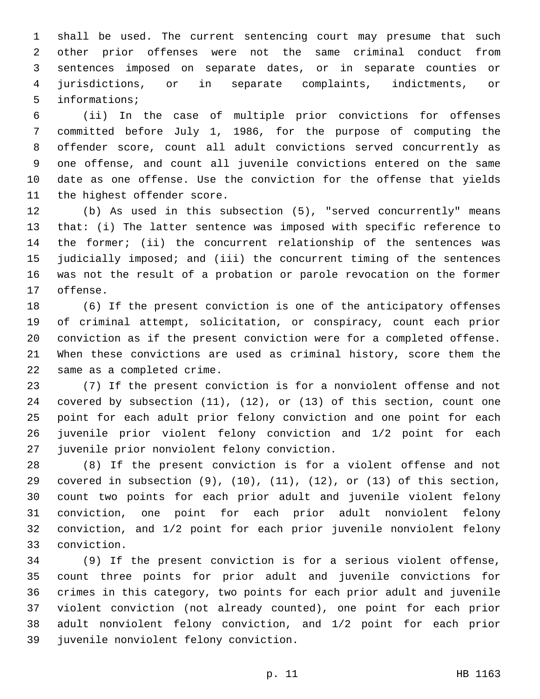shall be used. The current sentencing court may presume that such other prior offenses were not the same criminal conduct from sentences imposed on separate dates, or in separate counties or jurisdictions, or in separate complaints, indictments, or 5 informations;

 (ii) In the case of multiple prior convictions for offenses committed before July 1, 1986, for the purpose of computing the offender score, count all adult convictions served concurrently as one offense, and count all juvenile convictions entered on the same date as one offense. Use the conviction for the offense that yields 11 the highest offender score.

 (b) As used in this subsection (5), "served concurrently" means that: (i) The latter sentence was imposed with specific reference to the former; (ii) the concurrent relationship of the sentences was judicially imposed; and (iii) the concurrent timing of the sentences was not the result of a probation or parole revocation on the former 17 offense.

 (6) If the present conviction is one of the anticipatory offenses of criminal attempt, solicitation, or conspiracy, count each prior conviction as if the present conviction were for a completed offense. When these convictions are used as criminal history, score them the 22 same as a completed crime.

 (7) If the present conviction is for a nonviolent offense and not covered by subsection (11), (12), or (13) of this section, count one point for each adult prior felony conviction and one point for each juvenile prior violent felony conviction and 1/2 point for each 27 juvenile prior nonviolent felony conviction.

 (8) If the present conviction is for a violent offense and not 29 covered in subsection  $(9)$ ,  $(10)$ ,  $(11)$ ,  $(12)$ , or  $(13)$  of this section, count two points for each prior adult and juvenile violent felony conviction, one point for each prior adult nonviolent felony conviction, and 1/2 point for each prior juvenile nonviolent felony conviction.33

 (9) If the present conviction is for a serious violent offense, count three points for prior adult and juvenile convictions for crimes in this category, two points for each prior adult and juvenile violent conviction (not already counted), one point for each prior adult nonviolent felony conviction, and 1/2 point for each prior 39 juvenile nonviolent felony conviction.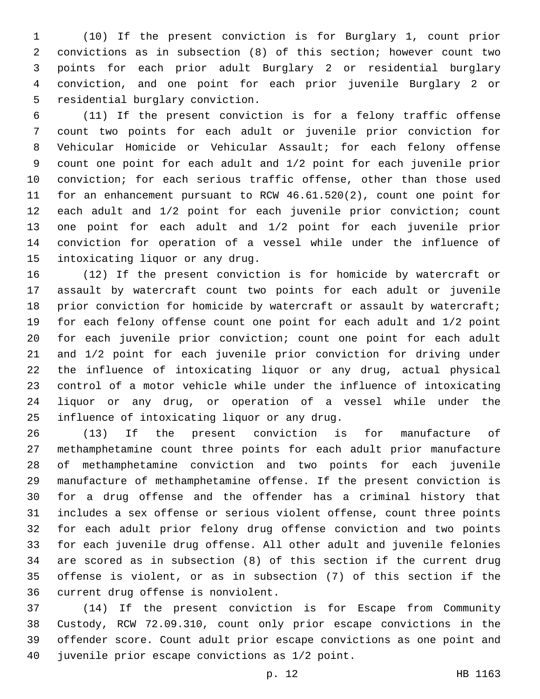(10) If the present conviction is for Burglary 1, count prior convictions as in subsection (8) of this section; however count two points for each prior adult Burglary 2 or residential burglary conviction, and one point for each prior juvenile Burglary 2 or 5 residential burglary conviction.

 (11) If the present conviction is for a felony traffic offense count two points for each adult or juvenile prior conviction for Vehicular Homicide or Vehicular Assault; for each felony offense count one point for each adult and 1/2 point for each juvenile prior conviction; for each serious traffic offense, other than those used for an enhancement pursuant to RCW 46.61.520(2), count one point for each adult and 1/2 point for each juvenile prior conviction; count one point for each adult and 1/2 point for each juvenile prior conviction for operation of a vessel while under the influence of 15 intoxicating liquor or any drug.

 (12) If the present conviction is for homicide by watercraft or assault by watercraft count two points for each adult or juvenile 18 prior conviction for homicide by watercraft or assault by watercraft; for each felony offense count one point for each adult and 1/2 point for each juvenile prior conviction; count one point for each adult and 1/2 point for each juvenile prior conviction for driving under the influence of intoxicating liquor or any drug, actual physical control of a motor vehicle while under the influence of intoxicating liquor or any drug, or operation of a vessel while under the 25 influence of intoxicating liquor or any drug.

 (13) If the present conviction is for manufacture of methamphetamine count three points for each adult prior manufacture of methamphetamine conviction and two points for each juvenile manufacture of methamphetamine offense. If the present conviction is for a drug offense and the offender has a criminal history that includes a sex offense or serious violent offense, count three points for each adult prior felony drug offense conviction and two points for each juvenile drug offense. All other adult and juvenile felonies are scored as in subsection (8) of this section if the current drug offense is violent, or as in subsection (7) of this section if the 36 current drug offense is nonviolent.

 (14) If the present conviction is for Escape from Community Custody, RCW 72.09.310, count only prior escape convictions in the offender score. Count adult prior escape convictions as one point and 40 juvenile prior escape convictions as  $1/2$  point.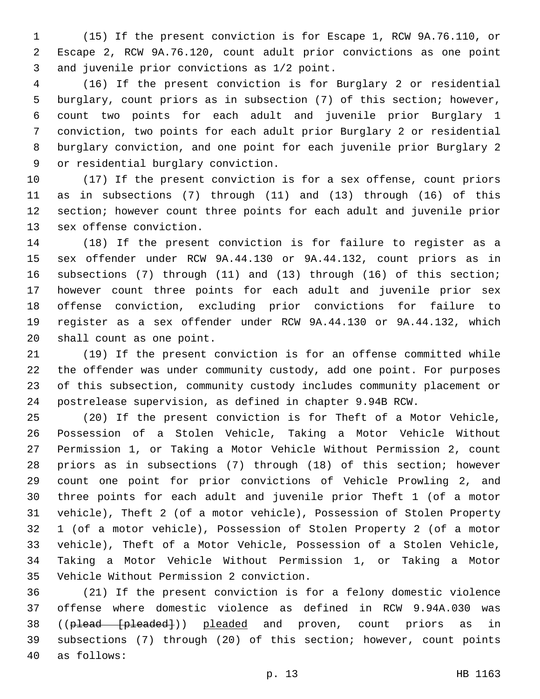(15) If the present conviction is for Escape 1, RCW 9A.76.110, or Escape 2, RCW 9A.76.120, count adult prior convictions as one point 3 and juvenile prior convictions as 1/2 point.

 (16) If the present conviction is for Burglary 2 or residential burglary, count priors as in subsection (7) of this section; however, count two points for each adult and juvenile prior Burglary 1 conviction, two points for each adult prior Burglary 2 or residential burglary conviction, and one point for each juvenile prior Burglary 2 9 or residential burglary conviction.

 (17) If the present conviction is for a sex offense, count priors as in subsections (7) through (11) and (13) through (16) of this section; however count three points for each adult and juvenile prior 13 sex offense conviction.

 (18) If the present conviction is for failure to register as a sex offender under RCW 9A.44.130 or 9A.44.132, count priors as in subsections (7) through (11) and (13) through (16) of this section; however count three points for each adult and juvenile prior sex offense conviction, excluding prior convictions for failure to register as a sex offender under RCW 9A.44.130 or 9A.44.132, which 20 shall count as one point.

 (19) If the present conviction is for an offense committed while the offender was under community custody, add one point. For purposes of this subsection, community custody includes community placement or postrelease supervision, as defined in chapter 9.94B RCW.

 (20) If the present conviction is for Theft of a Motor Vehicle, Possession of a Stolen Vehicle, Taking a Motor Vehicle Without Permission 1, or Taking a Motor Vehicle Without Permission 2, count priors as in subsections (7) through (18) of this section; however count one point for prior convictions of Vehicle Prowling 2, and three points for each adult and juvenile prior Theft 1 (of a motor vehicle), Theft 2 (of a motor vehicle), Possession of Stolen Property 1 (of a motor vehicle), Possession of Stolen Property 2 (of a motor vehicle), Theft of a Motor Vehicle, Possession of a Stolen Vehicle, Taking a Motor Vehicle Without Permission 1, or Taking a Motor 35 Vehicle Without Permission 2 conviction.

 (21) If the present conviction is for a felony domestic violence offense where domestic violence as defined in RCW 9.94A.030 was 38 ((plead [pleaded])) pleaded and proven, count priors as in subsections (7) through (20) of this section; however, count points as follows:40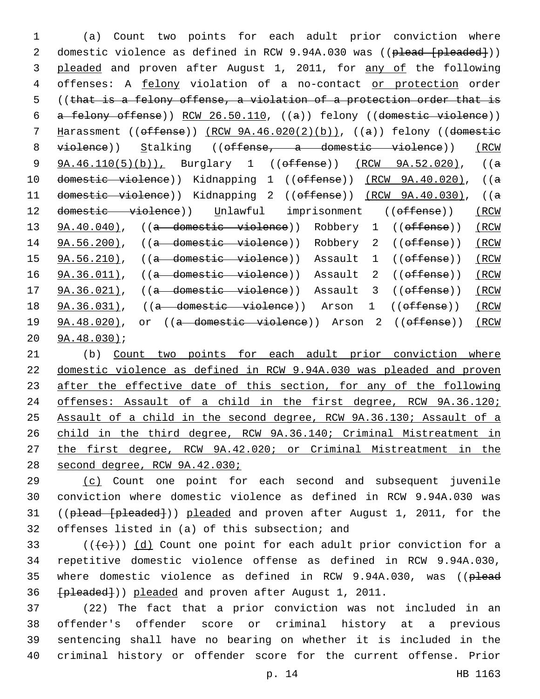1 (a) Count two points for each adult prior conviction where 2 domestic violence as defined in RCW 9.94A.030 was ((plead [pleaded])) 3 pleaded and proven after August 1, 2011, for any of the following 4 offenses: A felony violation of a no-contact or protection order 5 ((that is a felony offense, a violation of a protection order that is 6 a felony offense)) RCW 26.50.110, ((a)) felony ((domestic violence)) 7 Harassment ((offense)) (RCW 9A.46.020(2)(b)), ((a)) felony ((domestic 8 violence)) Stalking ((offense, a domestic violence)) (RCW 9 9A.46.110(5)(b)), Burglary 1 ((offense)) (RCW 9A.52.020), ((a 10 domestic violence)) Kidnapping 1 ((offense)) (RCW 9A.40.020), ((a 11 domestic violence)) Kidnapping 2 ((offense)) (RCW 9A.40.030), ((a 12 domestic violence)) Unlawful imprisonment ((offense)) (RCW 13 9A.40.040), ((a domestic violence)) Robbery 1 ((offense)) (RCW 14 9A.56.200), ((a domestic violence)) Robbery 2 ((offense)) (RCW 15 9A.56.210), ((a domestic violence)) Assault 1 ((offense)) (RCW 16 9A.36.011), ((a domestic violence)) Assault 2 ((offense)) (RCW 17 9A.36.021), ((a domestic violence)) Assault 3 ((offense)) (RCW 18 9A.36.031), ((a domestic violence)) Arson 1 ((offense)) (RCW 19 9A.48.020), or ((a domestic violence)) Arson 2 ((offense)) (RCW 20 9A.48.030);

 (b) Count two points for each adult prior conviction where domestic violence as defined in RCW 9.94A.030 was pleaded and proven after the effective date of this section, for any of the following offenses: Assault of a child in the first degree, RCW 9A.36.120; Assault of a child in the second degree, RCW 9A.36.130; Assault of a child in the third degree, RCW 9A.36.140; Criminal Mistreatment in the first degree, RCW 9A.42.020; or Criminal Mistreatment in the second degree, RCW 9A.42.030;

29 (c) Count one point for each second and subsequent juvenile 30 conviction where domestic violence as defined in RCW 9.94A.030 was 31 ((plead [pleaded])) pleaded and proven after August 1, 2011, for the 32 offenses listed in (a) of this subsection; and

33 ( $(\overline{\{e\}})$ ) (d) Count one point for each adult prior conviction for a 34 repetitive domestic violence offense as defined in RCW 9.94A.030, 35 where domestic violence as defined in RCW 9.94A.030, was ((plead 36 [pleaded])) pleaded and proven after August 1, 2011.

 (22) The fact that a prior conviction was not included in an offender's offender score or criminal history at a previous sentencing shall have no bearing on whether it is included in the criminal history or offender score for the current offense. Prior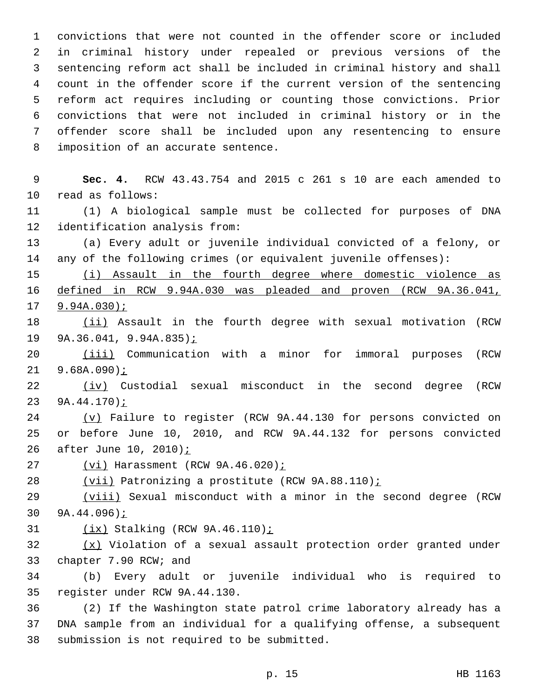convictions that were not counted in the offender score or included in criminal history under repealed or previous versions of the sentencing reform act shall be included in criminal history and shall count in the offender score if the current version of the sentencing reform act requires including or counting those convictions. Prior convictions that were not included in criminal history or in the offender score shall be included upon any resentencing to ensure 8 imposition of an accurate sentence.

 **Sec. 4.** RCW 43.43.754 and 2015 c 261 s 10 are each amended to 10 read as follows: (1) A biological sample must be collected for purposes of DNA 12 identification analysis from: (a) Every adult or juvenile individual convicted of a felony, or any of the following crimes (or equivalent juvenile offenses): (i) Assault in the fourth degree where domestic violence as defined in RCW 9.94A.030 was pleaded and proven (RCW 9A.36.041, 9.94A.030); 18 (ii) Assault in the fourth degree with sexual motivation (RCW 9A.36.041, 9.94A.835); 20 (iii) Communication with a minor for immoral purposes (RCW 9.68A.090); 22 (iv) Custodial sexual misconduct in the second degree (RCW 9A.44.170); 24 (v) Failure to register (RCW 9A.44.130 for persons convicted on or before June 10, 2010, and RCW 9A.44.132 for persons convicted 26 after June 10, 2010) i 27 (vi) Harassment (RCW 9A.46.020) : (vii) Patronizing a prostitute (RCW 9A.88.110); 29 (viii) Sexual misconduct with a minor in the second degree (RCW 9A.44.096); 31 (ix) Stalking (RCW 9A.46.110); (x) Violation of a sexual assault protection order granted under 33 chapter 7.90 RCW; and (b) Every adult or juvenile individual who is required to 35 register under RCW 9A.44.130. (2) If the Washington state patrol crime laboratory already has a DNA sample from an individual for a qualifying offense, a subsequent 38 submission is not required to be submitted.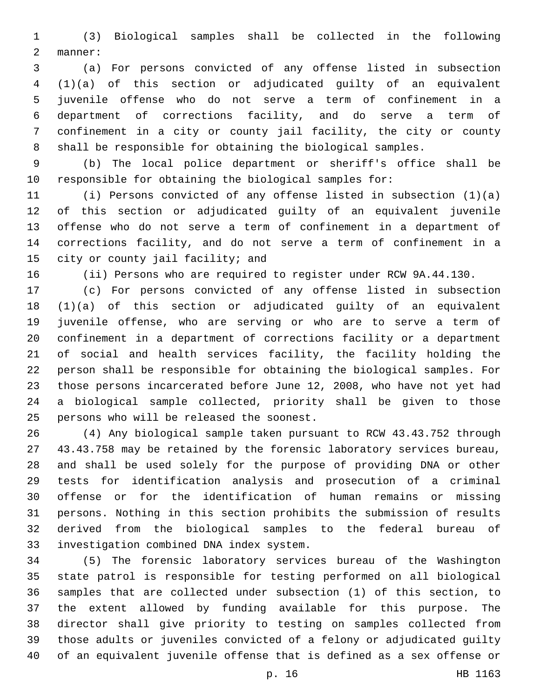(3) Biological samples shall be collected in the following 2 manner:

 (a) For persons convicted of any offense listed in subsection (1)(a) of this section or adjudicated guilty of an equivalent juvenile offense who do not serve a term of confinement in a department of corrections facility, and do serve a term of confinement in a city or county jail facility, the city or county shall be responsible for obtaining the biological samples.

 (b) The local police department or sheriff's office shall be responsible for obtaining the biological samples for:

 (i) Persons convicted of any offense listed in subsection (1)(a) of this section or adjudicated guilty of an equivalent juvenile offense who do not serve a term of confinement in a department of corrections facility, and do not serve a term of confinement in a 15 city or county jail facility; and

(ii) Persons who are required to register under RCW 9A.44.130.

 (c) For persons convicted of any offense listed in subsection (1)(a) of this section or adjudicated guilty of an equivalent juvenile offense, who are serving or who are to serve a term of confinement in a department of corrections facility or a department of social and health services facility, the facility holding the person shall be responsible for obtaining the biological samples. For those persons incarcerated before June 12, 2008, who have not yet had a biological sample collected, priority shall be given to those 25 persons who will be released the soonest.

 (4) Any biological sample taken pursuant to RCW 43.43.752 through 43.43.758 may be retained by the forensic laboratory services bureau, and shall be used solely for the purpose of providing DNA or other tests for identification analysis and prosecution of a criminal offense or for the identification of human remains or missing persons. Nothing in this section prohibits the submission of results derived from the biological samples to the federal bureau of 33 investigation combined DNA index system.

 (5) The forensic laboratory services bureau of the Washington state patrol is responsible for testing performed on all biological samples that are collected under subsection (1) of this section, to the extent allowed by funding available for this purpose. The director shall give priority to testing on samples collected from those adults or juveniles convicted of a felony or adjudicated guilty of an equivalent juvenile offense that is defined as a sex offense or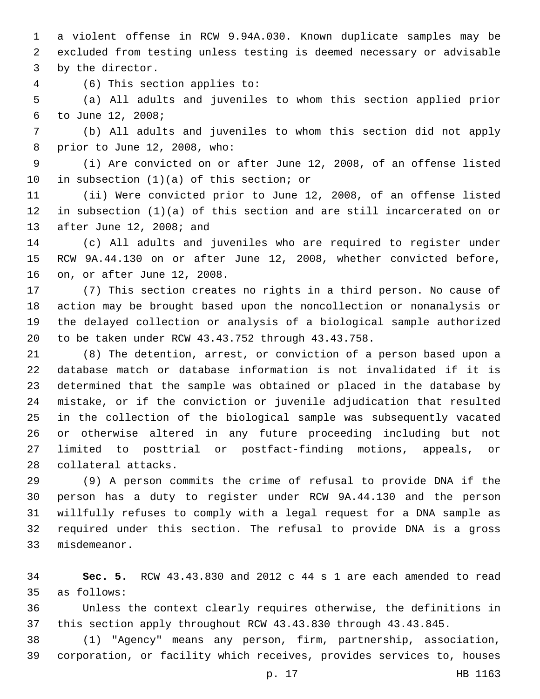a violent offense in RCW 9.94A.030. Known duplicate samples may be excluded from testing unless testing is deemed necessary or advisable 3 by the director.

(6) This section applies to:4

 (a) All adults and juveniles to whom this section applied prior to June 12, 2008;6

 (b) All adults and juveniles to whom this section did not apply 8 prior to June 12, 2008, who:

 (i) Are convicted on or after June 12, 2008, of an offense listed 10 in subsection  $(1)(a)$  of this section; or

 (ii) Were convicted prior to June 12, 2008, of an offense listed in subsection (1)(a) of this section and are still incarcerated on or 13 after June 12, 2008; and

 (c) All adults and juveniles who are required to register under RCW 9A.44.130 on or after June 12, 2008, whether convicted before, 16 on, or after June 12, 2008.

 (7) This section creates no rights in a third person. No cause of action may be brought based upon the noncollection or nonanalysis or the delayed collection or analysis of a biological sample authorized to be taken under RCW 43.43.752 through 43.43.758.

 (8) The detention, arrest, or conviction of a person based upon a database match or database information is not invalidated if it is determined that the sample was obtained or placed in the database by mistake, or if the conviction or juvenile adjudication that resulted in the collection of the biological sample was subsequently vacated or otherwise altered in any future proceeding including but not limited to posttrial or postfact-finding motions, appeals, or 28 collateral attacks.

 (9) A person commits the crime of refusal to provide DNA if the person has a duty to register under RCW 9A.44.130 and the person willfully refuses to comply with a legal request for a DNA sample as required under this section. The refusal to provide DNA is a gross 33 misdemeanor.

 **Sec. 5.** RCW 43.43.830 and 2012 c 44 s 1 are each amended to read as follows:35

 Unless the context clearly requires otherwise, the definitions in this section apply throughout RCW 43.43.830 through 43.43.845.

 (1) "Agency" means any person, firm, partnership, association, corporation, or facility which receives, provides services to, houses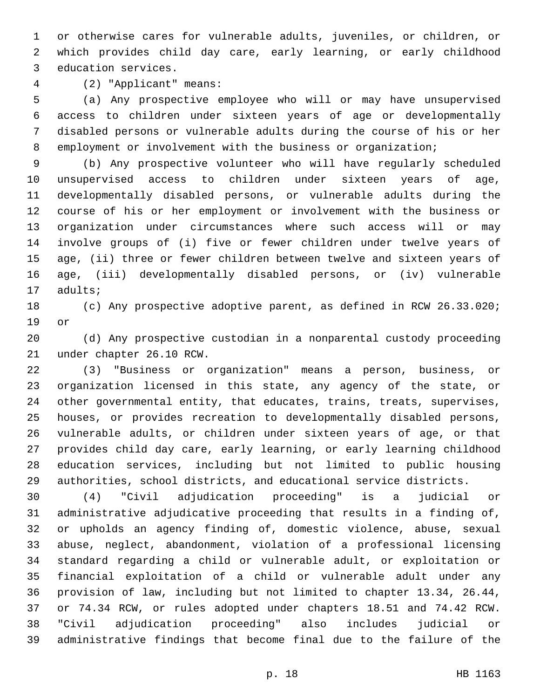or otherwise cares for vulnerable adults, juveniles, or children, or which provides child day care, early learning, or early childhood 3 education services.

(2) "Applicant" means:4

 (a) Any prospective employee who will or may have unsupervised access to children under sixteen years of age or developmentally disabled persons or vulnerable adults during the course of his or her 8 employment or involvement with the business or organization;

 (b) Any prospective volunteer who will have regularly scheduled unsupervised access to children under sixteen years of age, developmentally disabled persons, or vulnerable adults during the course of his or her employment or involvement with the business or organization under circumstances where such access will or may involve groups of (i) five or fewer children under twelve years of age, (ii) three or fewer children between twelve and sixteen years of age, (iii) developmentally disabled persons, or (iv) vulnerable 17 adults;

 (c) Any prospective adoptive parent, as defined in RCW 26.33.020; 19 or

 (d) Any prospective custodian in a nonparental custody proceeding 21 under chapter 26.10 RCW.

 (3) "Business or organization" means a person, business, or organization licensed in this state, any agency of the state, or other governmental entity, that educates, trains, treats, supervises, houses, or provides recreation to developmentally disabled persons, vulnerable adults, or children under sixteen years of age, or that provides child day care, early learning, or early learning childhood education services, including but not limited to public housing authorities, school districts, and educational service districts.

 (4) "Civil adjudication proceeding" is a judicial or administrative adjudicative proceeding that results in a finding of, or upholds an agency finding of, domestic violence, abuse, sexual abuse, neglect, abandonment, violation of a professional licensing standard regarding a child or vulnerable adult, or exploitation or financial exploitation of a child or vulnerable adult under any provision of law, including but not limited to chapter 13.34, 26.44, or 74.34 RCW, or rules adopted under chapters 18.51 and 74.42 RCW. "Civil adjudication proceeding" also includes judicial or administrative findings that become final due to the failure of the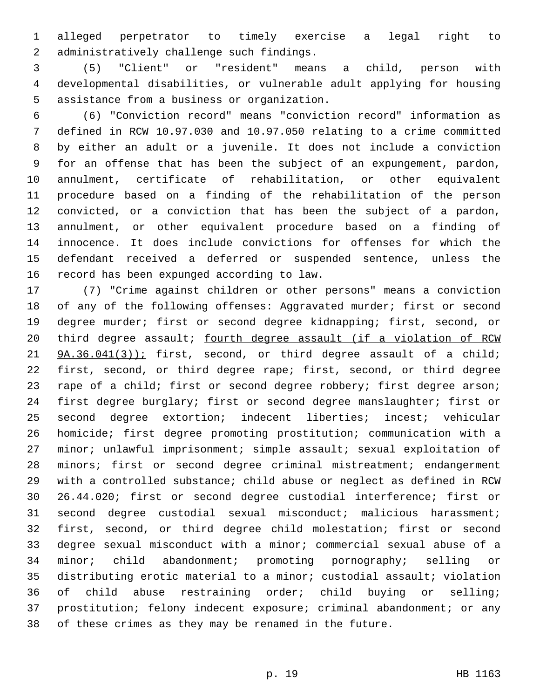alleged perpetrator to timely exercise a legal right to 2 administratively challenge such findings.

 (5) "Client" or "resident" means a child, person with developmental disabilities, or vulnerable adult applying for housing 5 assistance from a business or organization.

 (6) "Conviction record" means "conviction record" information as defined in RCW 10.97.030 and 10.97.050 relating to a crime committed by either an adult or a juvenile. It does not include a conviction for an offense that has been the subject of an expungement, pardon, annulment, certificate of rehabilitation, or other equivalent procedure based on a finding of the rehabilitation of the person convicted, or a conviction that has been the subject of a pardon, annulment, or other equivalent procedure based on a finding of innocence. It does include convictions for offenses for which the defendant received a deferred or suspended sentence, unless the 16 record has been expunged according to law.

 (7) "Crime against children or other persons" means a conviction of any of the following offenses: Aggravated murder; first or second degree murder; first or second degree kidnapping; first, second, or 20 third degree assault; fourth degree assault (if a violation of RCW 21 9A.36.041(3)); first, second, or third degree assault of a child; first, second, or third degree rape; first, second, or third degree 23 rape of a child; first or second degree robbery; first degree arson; first degree burglary; first or second degree manslaughter; first or second degree extortion; indecent liberties; incest; vehicular homicide; first degree promoting prostitution; communication with a minor; unlawful imprisonment; simple assault; sexual exploitation of minors; first or second degree criminal mistreatment; endangerment with a controlled substance; child abuse or neglect as defined in RCW 26.44.020; first or second degree custodial interference; first or second degree custodial sexual misconduct; malicious harassment; first, second, or third degree child molestation; first or second degree sexual misconduct with a minor; commercial sexual abuse of a minor; child abandonment; promoting pornography; selling or distributing erotic material to a minor; custodial assault; violation of child abuse restraining order; child buying or selling; prostitution; felony indecent exposure; criminal abandonment; or any of these crimes as they may be renamed in the future.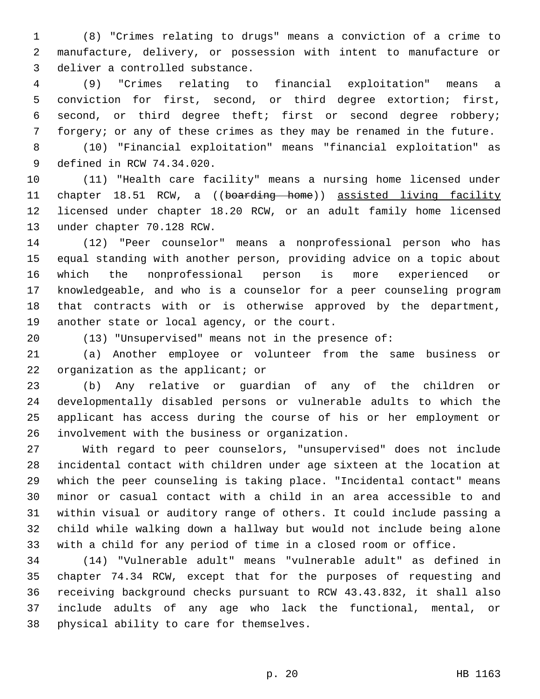(8) "Crimes relating to drugs" means a conviction of a crime to manufacture, delivery, or possession with intent to manufacture or 3 deliver a controlled substance.

 (9) "Crimes relating to financial exploitation" means a conviction for first, second, or third degree extortion; first, second, or third degree theft; first or second degree robbery; forgery; or any of these crimes as they may be renamed in the future.

 (10) "Financial exploitation" means "financial exploitation" as 9 defined in RCW 74.34.020.

 (11) "Health care facility" means a nursing home licensed under 11 chapter 18.51 RCW, a ((boarding home)) assisted living facility licensed under chapter 18.20 RCW, or an adult family home licensed 13 under chapter 70.128 RCW.

 (12) "Peer counselor" means a nonprofessional person who has equal standing with another person, providing advice on a topic about which the nonprofessional person is more experienced or knowledgeable, and who is a counselor for a peer counseling program that contracts with or is otherwise approved by the department, 19 another state or local agency, or the court.

(13) "Unsupervised" means not in the presence of:

 (a) Another employee or volunteer from the same business or 22 organization as the applicant; or

 (b) Any relative or guardian of any of the children or developmentally disabled persons or vulnerable adults to which the applicant has access during the course of his or her employment or involvement with the business or organization.26

 With regard to peer counselors, "unsupervised" does not include incidental contact with children under age sixteen at the location at which the peer counseling is taking place. "Incidental contact" means minor or casual contact with a child in an area accessible to and within visual or auditory range of others. It could include passing a child while walking down a hallway but would not include being alone with a child for any period of time in a closed room or office.

 (14) "Vulnerable adult" means "vulnerable adult" as defined in chapter 74.34 RCW, except that for the purposes of requesting and receiving background checks pursuant to RCW 43.43.832, it shall also include adults of any age who lack the functional, mental, or 38 physical ability to care for themselves.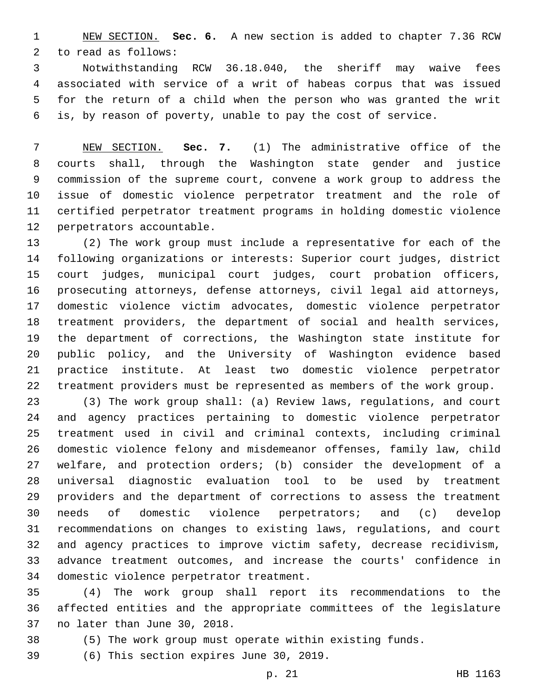NEW SECTION. **Sec. 6.** A new section is added to chapter 7.36 RCW 2 to read as follows:

 Notwithstanding RCW 36.18.040, the sheriff may waive fees associated with service of a writ of habeas corpus that was issued for the return of a child when the person who was granted the writ is, by reason of poverty, unable to pay the cost of service.

 NEW SECTION. **Sec. 7.** (1) The administrative office of the courts shall, through the Washington state gender and justice commission of the supreme court, convene a work group to address the issue of domestic violence perpetrator treatment and the role of certified perpetrator treatment programs in holding domestic violence perpetrators accountable.

 (2) The work group must include a representative for each of the following organizations or interests: Superior court judges, district court judges, municipal court judges, court probation officers, prosecuting attorneys, defense attorneys, civil legal aid attorneys, domestic violence victim advocates, domestic violence perpetrator treatment providers, the department of social and health services, the department of corrections, the Washington state institute for public policy, and the University of Washington evidence based practice institute. At least two domestic violence perpetrator treatment providers must be represented as members of the work group.

 (3) The work group shall: (a) Review laws, regulations, and court and agency practices pertaining to domestic violence perpetrator treatment used in civil and criminal contexts, including criminal domestic violence felony and misdemeanor offenses, family law, child welfare, and protection orders; (b) consider the development of a universal diagnostic evaluation tool to be used by treatment providers and the department of corrections to assess the treatment needs of domestic violence perpetrators; and (c) develop recommendations on changes to existing laws, regulations, and court and agency practices to improve victim safety, decrease recidivism, advance treatment outcomes, and increase the courts' confidence in 34 domestic violence perpetrator treatment.

 (4) The work group shall report its recommendations to the affected entities and the appropriate committees of the legislature 37 no later than June 30, 2018.

(5) The work group must operate within existing funds.

39 (6) This section expires June 30, 2019.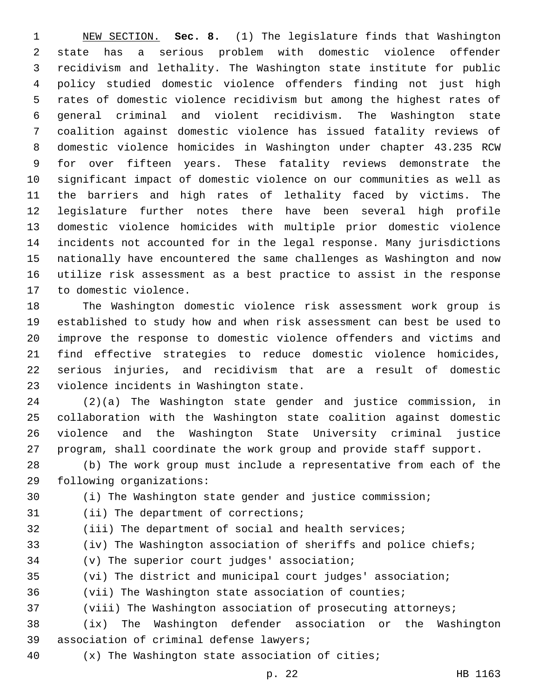NEW SECTION. **Sec. 8.** (1) The legislature finds that Washington state has a serious problem with domestic violence offender recidivism and lethality. The Washington state institute for public policy studied domestic violence offenders finding not just high rates of domestic violence recidivism but among the highest rates of general criminal and violent recidivism. The Washington state coalition against domestic violence has issued fatality reviews of domestic violence homicides in Washington under chapter 43.235 RCW for over fifteen years. These fatality reviews demonstrate the significant impact of domestic violence on our communities as well as the barriers and high rates of lethality faced by victims. The legislature further notes there have been several high profile domestic violence homicides with multiple prior domestic violence incidents not accounted for in the legal response. Many jurisdictions nationally have encountered the same challenges as Washington and now utilize risk assessment as a best practice to assist in the response to domestic violence.

 The Washington domestic violence risk assessment work group is established to study how and when risk assessment can best be used to improve the response to domestic violence offenders and victims and find effective strategies to reduce domestic violence homicides, serious injuries, and recidivism that are a result of domestic 23 violence incidents in Washington state.

 (2)(a) The Washington state gender and justice commission, in collaboration with the Washington state coalition against domestic violence and the Washington State University criminal justice program, shall coordinate the work group and provide staff support.

 (b) The work group must include a representative from each of the 29 following organizations:

(i) The Washington state gender and justice commission;

31 (ii) The department of corrections;

- (iii) The department of social and health services;
- (iv) The Washington association of sheriffs and police chiefs;
- 34 (v) The superior court judges' association;
- (vi) The district and municipal court judges' association;
- (vii) The Washington state association of counties;
- 37 (viii) The Washington association of prosecuting attorneys;
- (ix) The Washington defender association or the Washington 39 association of criminal defense lawyers;
- (x) The Washington state association of cities;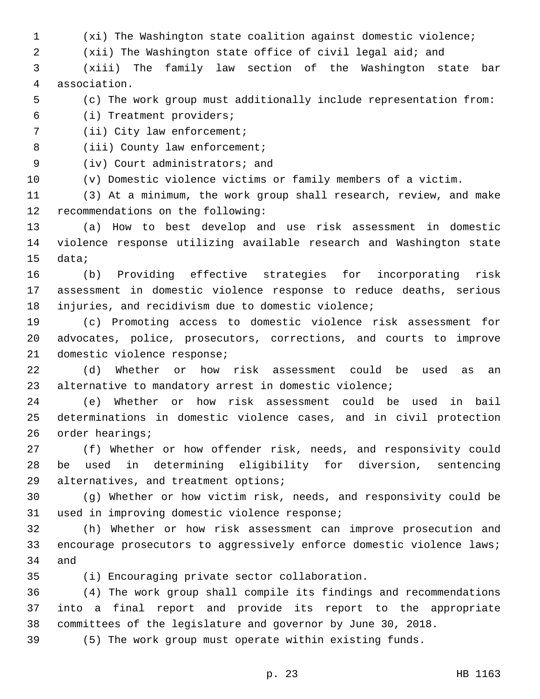(xi) The Washington state coalition against domestic violence;

(xii) The Washington state office of civil legal aid; and

 (xiii) The family law section of the Washington state bar association.4

(c) The work group must additionally include representation from:

(i) Treatment providers;6

7 (ii) City law enforcement;

8 (iii) County law enforcement;

9 (iv) Court administrators; and

(v) Domestic violence victims or family members of a victim.

 (3) At a minimum, the work group shall research, review, and make 12 recommendations on the following:

 (a) How to best develop and use risk assessment in domestic violence response utilizing available research and Washington state 15 data;

 (b) Providing effective strategies for incorporating risk assessment in domestic violence response to reduce deaths, serious injuries, and recidivism due to domestic violence;

 (c) Promoting access to domestic violence risk assessment for advocates, police, prosecutors, corrections, and courts to improve 21 domestic violence response;

 (d) Whether or how risk assessment could be used as an 23 alternative to mandatory arrest in domestic violence;

 (e) Whether or how risk assessment could be used in bail determinations in domestic violence cases, and in civil protection 26 order hearings;

 (f) Whether or how offender risk, needs, and responsivity could be used in determining eligibility for diversion, sentencing 29 alternatives, and treatment options;

 (g) Whether or how victim risk, needs, and responsivity could be 31 used in improving domestic violence response;

 (h) Whether or how risk assessment can improve prosecution and encourage prosecutors to aggressively enforce domestic violence laws; 34 and

(i) Encouraging private sector collaboration.35

 (4) The work group shall compile its findings and recommendations into a final report and provide its report to the appropriate committees of the legislature and governor by June 30, 2018.

(5) The work group must operate within existing funds.